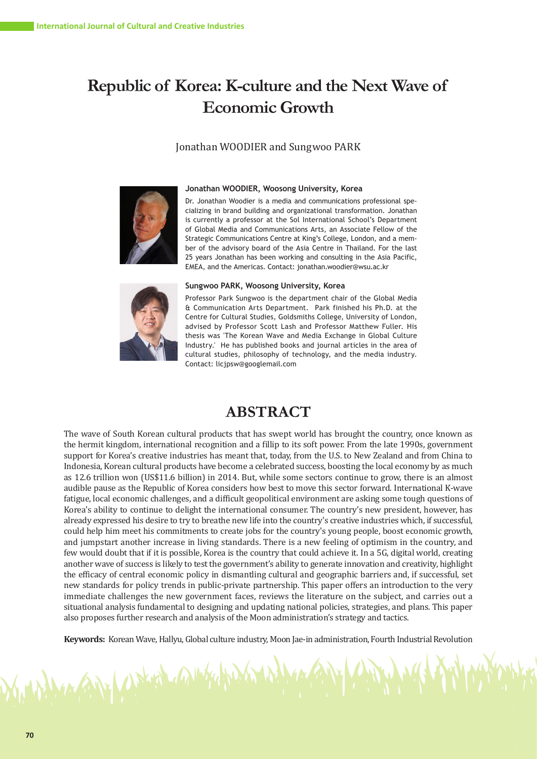# **Republic of Korea: K-culture and the Next Wave of Economic Growth**

## Jonathan WOODIER and Sungwoo PARK



#### **Jonathan WOODIER, Woosong University, Korea**

Dr. Jonathan Woodier is a media and communications professional specializing in brand building and organizational transformation. Jonathan is currently a professor at the Sol International School's Department of Global Media and Communications Arts, an Associate Fellow of the Strategic Communications Centre at King's College, London, and a member of the advisory board of the Asia Centre in Thailand. For the last 25 years Jonathan has been working and consulting in the Asia Pacific, EMEA, and the Americas. Contact: jonathan.woodier@wsu.ac.kr



ANY UNKER A

#### **Sungwoo PARK, Woosong University, Korea**

Professor Park Sungwoo is the department chair of the Global Media & Communication Arts Department. Park finished his Ph.D. at the Centre for Cultural Studies, Goldsmiths College, University of London, advised by Professor Scott Lash and Professor Matthew Fuller. His thesis was 'The Korean Wave and Media Exchange in Global Culture Industry.' He has published books and journal articles in the area of cultural studies, philosophy of technology, and the media industry. Contact: licjpsw@googlemail.com

# **ABSTRACT**

The wave of South Korean cultural products that has swept world has brought the country, once known as the hermit kingdom, international recognition and a fillip to its soft power. From the late 1990s, government support for Korea's creative industries has meant that, today, from the U.S. to New Zealand and from China to Indonesia, Korean cultural products have become a celebrated success, boosting the local economy by as much as 12.6 trillion won (US\$11.6 billion) in 2014. But, while some sectors continue to grow, there is an almost audible pause as the Republic of Korea considers how best to move this sector forward. International K-wave fatigue, local economic challenges, and a difficult geopolitical environment are asking some tough questions of Korea's ability to continue to delight the international consumer. The country's new president, however, has already expressed his desire to try to breathe new life into the country's creative industries which, if successful, could help him meet his commitments to create jobs for the country's young people, boost economic growth, and jumpstart another increase in living standards. There is a new feeling of optimism in the country, and few would doubt that if it is possible, Korea is the country that could achieve it. In a 5G, digital world, creating another wave of success is likely to test the government's ability to generate innovation and creativity, highlight the efficacy of central economic policy in dismantling cultural and geographic barriers and, if successful, set new standards for policy trends in public-private partnership. This paper offers an introduction to the very immediate challenges the new government faces, reviews the literature on the subject, and carries out a situational analysis fundamental to designing and updating national policies, strategies, and plans. This paper also proposes further research and analysis of the Moon administration's strategy and tactics.

**Keywords:** Korean Wave, Hallyu, Global culture industry, Moon Jae-in administration, Fourth Industrial Revolution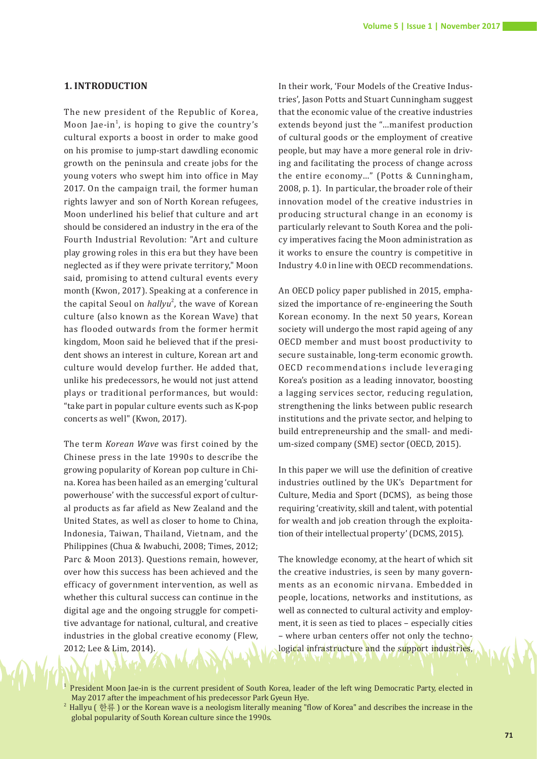#### **1. INTRODUCTION**

The new president of the Republic of Korea, Moon Jae-in<sup>1</sup>, is hoping to give the country's cultural exports a boost in order to make good on his promise to jump-start dawdling economic growth on the peninsula and create jobs for the young voters who swept him into office in May 2017. On the campaign trail, the former human rights lawyer and son of North Korean refugees, Moon underlined his belief that culture and art should be considered an industry in the era of the Fourth Industrial Revolution: "Art and culture play growing roles in this era but they have been neglected as if they were private territory," Moon said, promising to attend cultural events every month (Kwon, 2017). Speaking at a conference in the capital Seoul on *hallyu*<sup>2</sup>, the wave of Korean culture (also known as the Korean Wave) that has flooded outwards from the former hermit kingdom, Moon said he believed that if the president shows an interest in culture, Korean art and culture would develop further. He added that, unlike his predecessors, he would not just attend plays or traditional performances, but would: "take part in popular culture events such as K-pop concerts as well" (Kwon, 2017).

The term *Korean Wave* was first coined by the Chinese press in the late 1990s to describe the growing popularity of Korean pop culture in China. Korea has been hailed as an emerging 'cultural powerhouse' with the successful export of cultural products as far afield as New Zealand and the United States, as well as closer to home to China, Indonesia, Taiwan, Thailand, Vietnam, and the Philippines (Chua & Iwabuchi, 2008; Times, 2012; Parc & Moon 2013). Questions remain, however, over how this success has been achieved and the efficacy of government intervention, as well as whether this cultural success can continue in the digital age and the ongoing struggle for competitive advantage for national, cultural, and creative industries in the global creative economy (Flew, 2012; Lee & Lim, 2014).

In their work, 'Four Models of the Creative Industries', Jason Potts and Stuart Cunningham suggest that the economic value of the creative industries extends beyond just the "…manifest production of cultural goods or the employment of creative people, but may have a more general role in driving and facilitating the process of change across the entire economy…" (Potts & Cunningham, 2008, p. 1). In particular, the broader role of their innovation model of the creative industries in producing structural change in an economy is particularly relevant to South Korea and the policy imperatives facing the Moon administration as it works to ensure the country is competitive in Industry 4.0 in line with OECD recommendations.

An OECD policy paper published in 2015, emphasized the importance of re-engineering the South Korean economy. In the next 50 years, Korean society will undergo the most rapid ageing of any OECD member and must boost productivity to secure sustainable, long-term economic growth. OECD recommendations include leveraging Korea's position as a leading innovator, boosting a lagging services sector, reducing regulation, strengthening the links between public research institutions and the private sector, and helping to build entrepreneurship and the small- and medium-sized company (SME) sector (OECD, 2015).

In this paper we will use the definition of creative industries outlined by the UK's Department for Culture, Media and Sport (DCMS), as being those requiring 'creativity, skill and talent, with potential for wealth and job creation through the exploitation of their intellectual property' (DCMS, 2015).

The knowledge economy, at the heart of which sit the creative industries, is seen by many governments as an economic nirvana. Embedded in people, locations, networks and institutions, as well as connected to cultural activity and employment, it is seen as tied to places – especially cities – where urban centers offer not only the technological infrastructure and the support industries,

President Moon Jae-in is the current president of South Korea, leader of the left wing Democratic Party, elected in May 2017 after the impeachment of his predecessor Park Gyeun Hye.

 $^2$  Hallyu ( 한류 ) or the Korean wave is a neologism literally meaning "flow of Korea" and describes the increase in the global popularity of South Korean culture since the 1990s.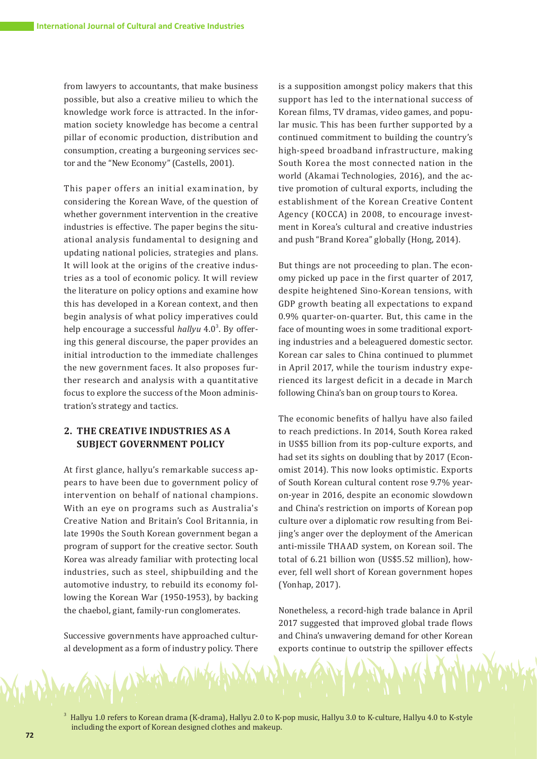from lawyers to accountants, that make business possible, but also a creative milieu to which the knowledge work force is attracted. In the information society knowledge has become a central pillar of economic production, distribution and consumption, creating a burgeoning services sector and the "New Economy" (Castells, 2001).

This paper offers an initial examination, by considering the Korean Wave, of the question of whether government intervention in the creative industries is effective. The paper begins the situational analysis fundamental to designing and updating national policies, strategies and plans. It will look at the origins of the creative industries as a tool of economic policy. It will review the literature on policy options and examine how this has developed in a Korean context, and then begin analysis of what policy imperatives could help encourage a successful *hallyu* 4.0<sup>3</sup>. By offering this general discourse, the paper provides an initial introduction to the immediate challenges the new government faces. It also proposes further research and analysis with a quantitative focus to explore the success of the Moon administration's strategy and tactics.

# **2. THE CREATIVE INDUSTRIES AS A SUBJECT GOVERNMENT POLICY**

At first glance, hallyu's remarkable success appears to have been due to government policy of intervention on behalf of national champions. With an eye on programs such as Australia's Creative Nation and Britain's Cool Britannia, in late 1990s the South Korean government began a program of support for the creative sector. South Korea was already familiar with protecting local industries, such as steel, shipbuilding and the automotive industry, to rebuild its economy following the Korean War (1950-1953), by backing the chaebol, giant, family-run conglomerates.

Successive governments have approached cultural development as a form of industry policy. There

is a supposition amongst policy makers that this support has led to the international success of Korean films, TV dramas, video games, and popular music. This has been further supported by a continued commitment to building the country's high-speed broadband infrastructure, making South Korea the most connected nation in the world (Akamai Technologies, 2016), and the active promotion of cultural exports, including the establishment of the Korean Creative Content Agency (KOCCA) in 2008, to encourage investment in Korea's cultural and creative industries and push "Brand Korea" globally (Hong, 2014).

But things are not proceeding to plan. The economy picked up pace in the first quarter of 2017, despite heightened Sino-Korean tensions, with GDP growth beating all expectations to expand 0.9% quarter-on-quarter. But, this came in the face of mounting woes in some traditional exporting industries and a beleaguered domestic sector. Korean car sales to China continued to plummet in April 2017, while the tourism industry experienced its largest deficit in a decade in March following China's ban on group tours to Korea.

The economic benefits of hallyu have also failed to reach predictions. In 2014, South Korea raked in US\$5 billion from its pop-culture exports, and had set its sights on doubling that by 2017 (Economist 2014). This now looks optimistic. Exports of South Korean cultural content rose 9.7% yearon-year in 2016, despite an economic slowdown and China's restriction on imports of Korean pop culture over a diplomatic row resulting from Beijing's anger over the deployment of the American anti-missile THAAD system, on Korean soil. The total of 6.21 billion won (US\$5.52 million), however, fell well short of Korean government hopes (Yonhap, 2017).

Nonetheless, a record-high trade balance in April 2017 suggested that improved global trade flows and China's unwavering demand for other Korean exports continue to outstrip the spillover effects

3 Hallyu 1.0 refers to Korean drama (K-drama), Hallyu 2.0 to K-pop music, Hallyu 3.0 to K-culture, Hallyu 4.0 to K-style including the export of Korean designed clothes and makeup.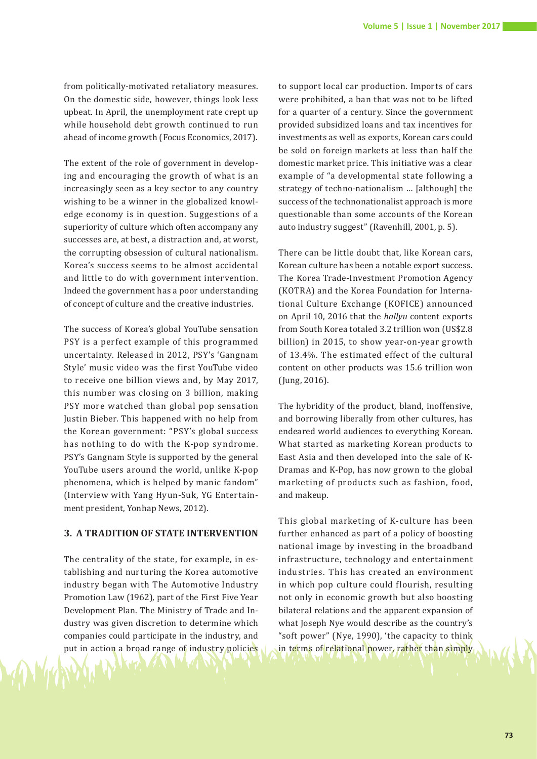from politically-motivated retaliatory measures. On the domestic side, however, things look less upbeat. In April, the unemployment rate crept up while household debt growth continued to run ahead of income growth (Focus Economics, 2017).

The extent of the role of government in developing and encouraging the growth of what is an increasingly seen as a key sector to any country wishing to be a winner in the globalized knowledge economy is in question. Suggestions of a superiority of culture which often accompany any successes are, at best, a distraction and, at worst, the corrupting obsession of cultural nationalism. Korea's success seems to be almost accidental and little to do with government intervention. Indeed the government has a poor understanding of concept of culture and the creative industries.

The success of Korea's global YouTube sensation PSY is a perfect example of this programmed uncertainty. Released in 2012, PSY's 'Gangnam Style' music video was the first YouTube video to receive one billion views and, by May 2017, this number was closing on 3 billion, making PSY more watched than global pop sensation Justin Bieber. This happened with no help from the Korean government: "PSY's global success has nothing to do with the K-pop syndrome. PSY's Gangnam Style is supported by the general YouTube users around the world, unlike K-pop phenomena, which is helped by manic fandom" (Interview with Yang Hyun-Suk, YG Entertainment president, Yonhap News, 2012).

#### **3. A TRADITION OF STATE INTERVENTION**

The centrality of the state, for example, in establishing and nurturing the Korea automotive industry began with The Automotive Industry Promotion Law (1962), part of the First Five Year Development Plan. The Ministry of Trade and Industry was given discretion to determine which companies could participate in the industry, and put in action a broad range of industry/policies

to support local car production. Imports of cars were prohibited, a ban that was not to be lifted for a quarter of a century. Since the government provided subsidized loans and tax incentives for investments as well as exports, Korean cars could be sold on foreign markets at less than half the domestic market price. This initiative was a clear example of "a developmental state following a strategy of techno-nationalism … [although] the success of the technonationalist approach is more questionable than some accounts of the Korean auto industry suggest" (Ravenhill, 2001, p. 5).

There can be little doubt that, like Korean cars, Korean culture has been a notable export success. The Korea Trade-Investment Promotion Agency (KOTRA) and the Korea Foundation for International Culture Exchange (KOFICE) announced on April 10, 2016 that the *hallyu* content exports from South Korea totaled 3.2 trillion won (US\$2.8 billion) in 2015, to show year-on-year growth of 13.4%. The estimated effect of the cultural content on other products was 15.6 trillion won (Jung, 2016).

The hybridity of the product, bland, inoffensive, and borrowing liberally from other cultures, has endeared world audiences to everything Korean. What started as marketing Korean products to East Asia and then developed into the sale of K-Dramas and K-Pop, has now grown to the global marketing of products such as fashion, food, and makeup.

This global marketing of K-culture has been further enhanced as part of a policy of boosting national image by investing in the broadband infrastructure, technology and entertainment industries. This has created an environment in which pop culture could flourish, resulting not only in economic growth but also boosting bilateral relations and the apparent expansion of what Joseph Nye would describe as the country's "soft power" (Nye, 1990), 'the capacity to think in terms of relational power, rather than simply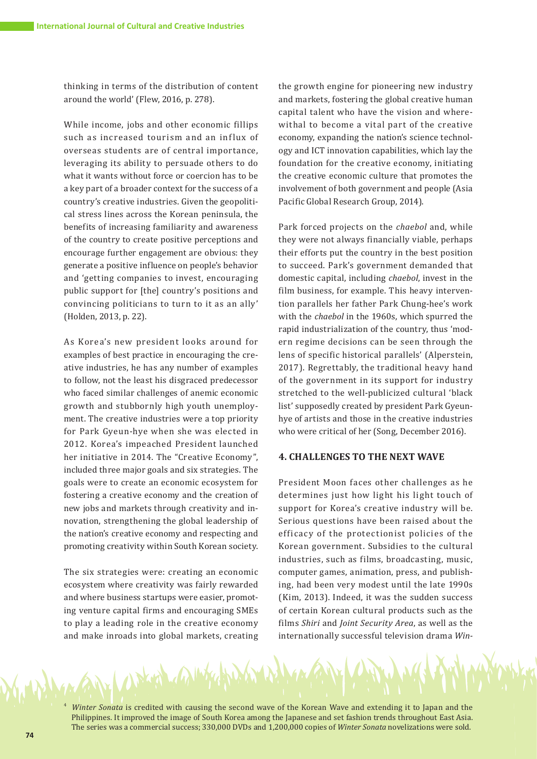thinking in terms of the distribution of content around the world' (Flew, 2016, p. 278).

While income, jobs and other economic fillips such as increased tourism and an influx of overseas students are of central importance, leveraging its ability to persuade others to do what it wants without force or coercion has to be a key part of a broader context for the success of a country's creative industries. Given the geopolitical stress lines across the Korean peninsula, the benefits of increasing familiarity and awareness of the country to create positive perceptions and encourage further engagement are obvious: they generate a positive influence on people's behavior and 'getting companies to invest, encouraging public support for [the] country's positions and convincing politicians to turn to it as an ally' (Holden, 2013, p. 22).

As Korea's new president looks around for examples of best practice in encouraging the creative industries, he has any number of examples to follow, not the least his disgraced predecessor who faced similar challenges of anemic economic growth and stubbornly high youth unemployment. The creative industries were a top priority for Park Gyeun-hye when she was elected in 2012. Korea's impeached President launched her initiative in 2014. The "Creative Economy", included three major goals and six strategies. The goals were to create an economic ecosystem for fostering a creative economy and the creation of new jobs and markets through creativity and innovation, strengthening the global leadership of the nation's creative economy and respecting and promoting creativity within South Korean society.

The six strategies were: creating an economic ecosystem where creativity was fairly rewarded and where business startups were easier, promoting venture capital firms and encouraging SMEs to play a leading role in the creative economy and make inroads into global markets, creating the growth engine for pioneering new industry and markets, fostering the global creative human capital talent who have the vision and wherewithal to become a vital part of the creative economy, expanding the nation's science technology and ICT innovation capabilities, which lay the foundation for the creative economy, initiating the creative economic culture that promotes the involvement of both government and people (Asia Pacific Global Research Group, 2014).

Park forced projects on the *chaebol* and, while they were not always financially viable, perhaps their efforts put the country in the best position to succeed. Park's government demanded that domestic capital, including *chaebol*, invest in the film business, for example. This heavy intervention parallels her father Park Chung-hee's work with the *chaebol* in the 1960s, which spurred the rapid industrialization of the country, thus 'modern regime decisions can be seen through the lens of specific historical parallels' (Alperstein, 2017). Regrettably, the traditional heavy hand of the government in its support for industry stretched to the well-publicized cultural 'black list' supposedly created by president Park Gyeunhye of artists and those in the creative industries who were critical of her (Song, December 2016).

### **4. CHALLENGES TO THE NEXT WAVE**

President Moon faces other challenges as he determines just how light his light touch of support for Korea's creative industry will be. Serious questions have been raised about the efficacy of the protectionist policies of the Korean government. Subsidies to the cultural industries, such as films, broadcasting, music, computer games, animation, press, and publishing, had been very modest until the late 1990s (Kim, 2013). Indeed, it was the sudden success of certain Korean cultural products such as the films *Shiri* and *Joint Security Area*, as well as the internationally successful television drama *Win-*

<sup>4</sup>*Winter Sonata* is credited with causing the second wave of the Korean Wave and extending it to Japan and the Philippines. It improved the image of South Korea among the Japanese and set fashion trends throughout East Asia. The series was a commercial success; 330,000 DVDs and 1,200,000 copies of *Winter Sonata* novelizations were sold.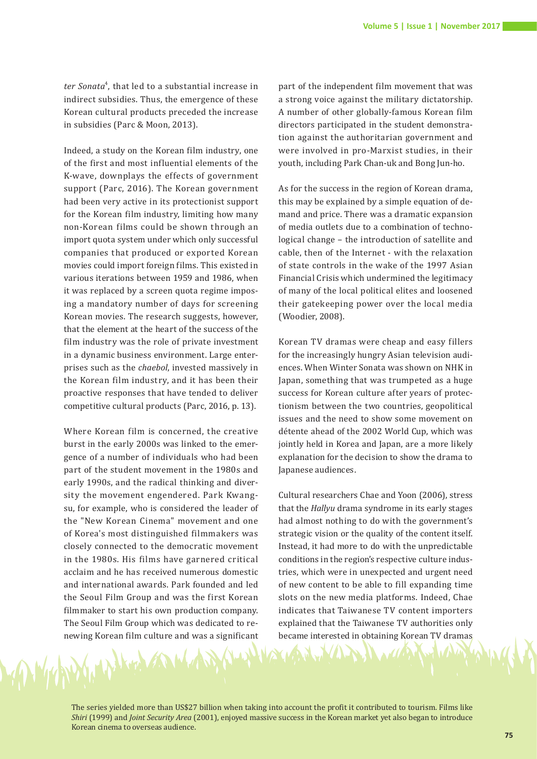ter Sonata<sup>4</sup>, that led to a substantial increase in indirect subsidies. Thus, the emergence of these Korean cultural products preceded the increase in subsidies (Parc & Moon, 2013).

Indeed, a study on the Korean film industry, one of the first and most influential elements of the K-wave, downplays the effects of government support (Parc, 2016). The Korean government had been very active in its protectionist support for the Korean film industry, limiting how many non-Korean films could be shown through an import quota system under which only successful companies that produced or exported Korean movies could import foreign films. This existed in various iterations between 1959 and 1986, when it was replaced by a screen quota regime imposing a mandatory number of days for screening Korean movies. The research suggests, however, that the element at the heart of the success of the film industry was the role of private investment in a dynamic business environment. Large enterprises such as the *chaebol*, invested massively in the Korean film industry, and it has been their proactive responses that have tended to deliver competitive cultural products (Parc, 2016, p. 13).

Where Korean film is concerned, the creative burst in the early 2000s was linked to the emergence of a number of individuals who had been part of the student movement in the 1980s and early 1990s, and the radical thinking and diversity the movement engendered. Park Kwangsu, for example, who is considered the leader of the "New Korean Cinema" movement and one of Korea's most distinguished filmmakers was closely connected to the democratic movement in the 1980s. His films have garnered critical acclaim and he has received numerous domestic and international awards. Park founded and led the Seoul Film Group and was the first Korean filmmaker to start his own production company. The Seoul Film Group which was dedicated to renewing Korean film culture and was a significant

Blog m

part of the independent film movement that was a strong voice against the military dictatorship. A number of other globally-famous Korean film directors participated in the student demonstration against the authoritarian government and were involved in pro-Marxist studies, in their youth, including Park Chan-uk and Bong Jun-ho.

As for the success in the region of Korean drama, this may be explained by a simple equation of demand and price. There was a dramatic expansion of media outlets due to a combination of technological change – the introduction of satellite and cable, then of the Internet - with the relaxation of state controls in the wake of the 1997 Asian Financial Crisis which undermined the legitimacy of many of the local political elites and loosened their gatekeeping power over the local media (Woodier, 2008).

Korean TV dramas were cheap and easy fillers for the increasingly hungry Asian television audiences. When Winter Sonata was shown on NHK in Japan, something that was trumpeted as a huge success for Korean culture after years of protectionism between the two countries, geopolitical issues and the need to show some movement on détente ahead of the 2002 World Cup, which was jointly held in Korea and Japan, are a more likely explanation for the decision to show the drama to Japanese audiences.

Cultural researchers Chae and Yoon (2006), stress that the *Hallyu* drama syndrome in its early stages had almost nothing to do with the government's strategic vision or the quality of the content itself. Instead, it had more to do with the unpredictable conditions in the region's respective culture industries, which were in unexpected and urgent need of new content to be able to fill expanding time slots on the new media platforms. Indeed, Chae indicates that Taiwanese TV content importers explained that the Taiwanese TV authorities only became interested in obtaining Korean TV dramas

The series yielded more than US\$27 billion when taking into account the profit it contributed to tourism. Films like *Shiri* (1999) and *Joint Security Area* (2001), enjoyed massive success in the Korean market yet also began to introduce Korean cinema to overseas audience.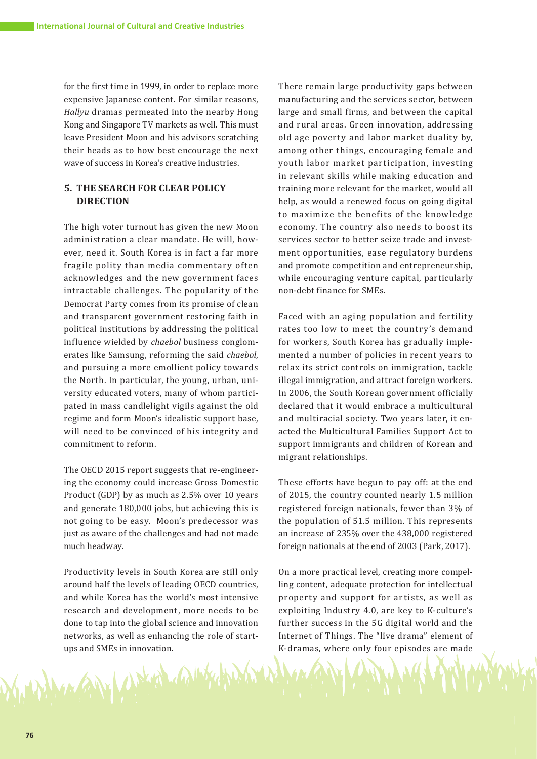for the first time in 1999, in order to replace more expensive Japanese content. For similar reasons, *Hallyu* dramas permeated into the nearby Hong Kong and Singapore TV markets as well. This must leave President Moon and his advisors scratching their heads as to how best encourage the next wave of success in Korea's creative industries.

# **5. THE SEARCH FOR CLEAR POLICY DIRECTION**

The high voter turnout has given the new Moon administration a clear mandate. He will, however, need it. South Korea is in fact a far more fragile polity than media commentary often acknowledges and the new government faces intractable challenges. The popularity of the Democrat Party comes from its promise of clean and transparent government restoring faith in political institutions by addressing the political influence wielded by *chaebol* business conglomerates like Samsung, reforming the said *chaebol*, and pursuing a more emollient policy towards the North. In particular, the young, urban, university educated voters, many of whom participated in mass candlelight vigils against the old regime and form Moon's idealistic support base, will need to be convinced of his integrity and commitment to reform.

The OECD 2015 report suggests that re-engineering the economy could increase Gross Domestic Product (GDP) by as much as 2.5% over 10 years and generate 180,000 jobs, but achieving this is not going to be easy. Moon's predecessor was just as aware of the challenges and had not made much headway.

Productivity levels in South Korea are still only around half the levels of leading OECD countries, and while Korea has the world's most intensive research and development, more needs to be done to tap into the global science and innovation networks, as well as enhancing the role of startups and SMEs in innovation.

Notice Call

There remain large productivity gaps between manufacturing and the services sector, between large and small firms, and between the capital and rural areas. Green innovation, addressing old age poverty and labor market duality by, among other things, encouraging female and youth labor market participation, investing in relevant skills while making education and training more relevant for the market, would all help, as would a renewed focus on going digital to maximize the benefits of the knowledge economy. The country also needs to boost its services sector to better seize trade and investment opportunities, ease regulatory burdens and promote competition and entrepreneurship, while encouraging venture capital, particularly non-debt finance for SMEs.

Faced with an aging population and fertility rates too low to meet the country's demand for workers, South Korea has gradually implemented a number of policies in recent years to relax its strict controls on immigration, tackle illegal immigration, and attract foreign workers. In 2006, the South Korean government officially declared that it would embrace a multicultural and multiracial society. Two years later, it enacted the Multicultural Families Support Act to support immigrants and children of Korean and migrant relationships.

These efforts have begun to pay off: at the end of 2015, the country counted nearly 1.5 million registered foreign nationals, fewer than 3% of the population of 51.5 million. This represents an increase of 235% over the 438,000 registered foreign nationals at the end of 2003 (Park, 2017).

On a more practical level, creating more compelling content, adequate protection for intellectual property and support for artists, as well as exploiting Industry 4.0, are key to K-culture's further success in the 5G digital world and the Internet of Things. The "live drama" element of K-dramas, where only four episodes are made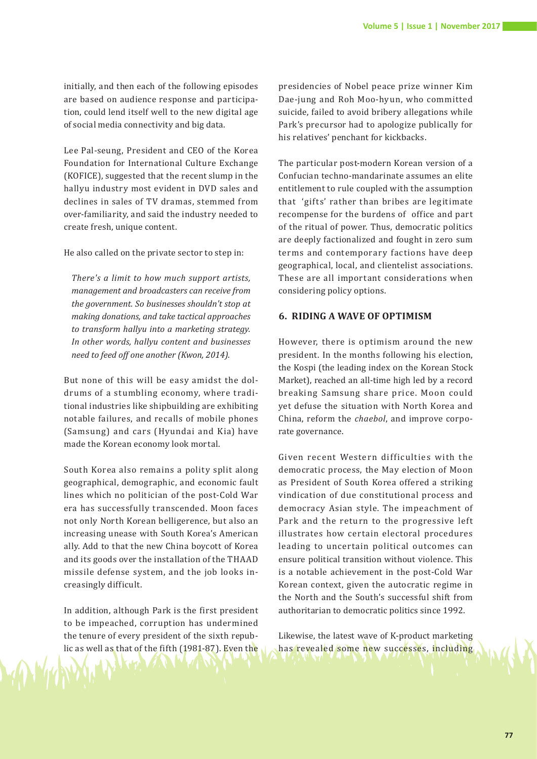initially, and then each of the following episodes are based on audience response and participation, could lend itself well to the new digital age of social media connectivity and big data.

Lee Pal-seung, President and CEO of the Korea Foundation for International Culture Exchange (KOFICE), suggested that the recent slump in the hallyu industry most evident in DVD sales and declines in sales of TV dramas, stemmed from over-familiarity, and said the industry needed to create fresh, unique content.

He also called on the private sector to step in:

*There's a limit to how much support artists, management and broadcasters can receive from the government. So businesses shouldn't stop at making donations, and take tactical approaches to transform hallyu into a marketing strategy. In other words, hallyu content and businesses need to feed off one another (Kwon, 2014).* 

But none of this will be easy amidst the doldrums of a stumbling economy, where traditional industries like shipbuilding are exhibiting notable failures, and recalls of mobile phones (Samsung) and cars (Hyundai and Kia) have made the Korean economy look mortal.

South Korea also remains a polity split along geographical, demographic, and economic fault lines which no politician of the post-Cold War era has successfully transcended. Moon faces not only North Korean belligerence, but also an increasing unease with South Korea's American ally. Add to that the new China boycott of Korea and its goods over the installation of the THAAD missile defense system, and the job looks increasingly difficult.

In addition, although Park is the first president to be impeached, corruption has undermined the tenure of every president of the sixth republic as well as that of the fifth (1981-87). Even the

presidencies of Nobel peace prize winner Kim Dae-jung and Roh Moo-hyun, who committed suicide, failed to avoid bribery allegations while Park's precursor had to apologize publically for his relatives' penchant for kickbacks.

The particular post-modern Korean version of a Confucian techno-mandarinate assumes an elite entitlement to rule coupled with the assumption that 'gifts' rather than bribes are legitimate recompense for the burdens of office and part of the ritual of power. Thus, democratic politics are deeply factionalized and fought in zero sum terms and contemporary factions have deep geographical, local, and clientelist associations. These are all important considerations when considering policy options.

#### **6. RIDING A WAVE OF OPTIMISM**

However, there is optimism around the new president. In the months following his election, the Kospi (the leading index on the Korean Stock Market), reached an all-time high led by a record breaking Samsung share price. Moon could yet defuse the situation with North Korea and China, reform the *chaebol*, and improve corporate governance.

Given recent Western difficulties with the democratic process, the May election of Moon as President of South Korea offered a striking vindication of due constitutional process and democracy Asian style. The impeachment of Park and the return to the progressive left illustrates how certain electoral procedures leading to uncertain political outcomes can ensure political transition without violence. This is a notable achievement in the post-Cold War Korean context, given the autocratic regime in the North and the South's successful shift from authoritarian to democratic politics since 1992.

Likewise, the latest wave of K-product marketing has revealed some new successes, including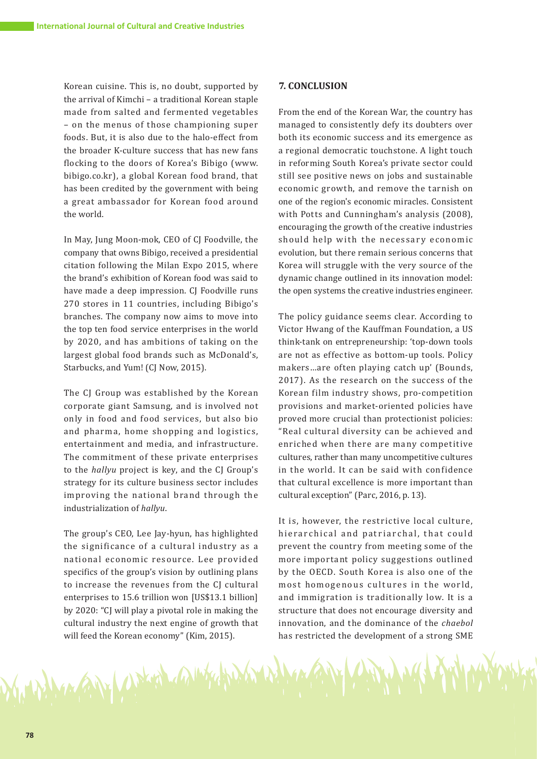Korean cuisine. This is, no doubt, supported by the arrival of Kimchi – a traditional Korean staple made from salted and fermented vegetables – on the menus of those championing super foods. But, it is also due to the halo-effect from the broader K-culture success that has new fans flocking to the doors of Korea's Bibigo (www. bibigo.co.kr), a global Korean food brand, that has been credited by the government with being a great ambassador for Korean food around the world.

In May, Jung Moon-mok, CEO of CJ Foodville, the company that owns Bibigo, received a presidential citation following the Milan Expo 2015, where the brand's exhibition of Korean food was said to have made a deep impression. CJ Foodville runs 270 stores in 11 countries, including Bibigo's branches. The company now aims to move into the top ten food service enterprises in the world by 2020, and has ambitions of taking on the largest global food brands such as McDonald's, Starbucks, and Yum! (CJ Now, 2015).

The CJ Group was established by the Korean corporate giant Samsung, and is involved not only in food and food services, but also bio and pharma, home shopping and logistics, entertainment and media, and infrastructure. The commitment of these private enterprises to the *hallyu* project is key, and the CJ Group's strategy for its culture business sector includes improving the national brand through the industrialization of *hallyu*.

The group's CEO, Lee Jay-hyun, has highlighted the significance of a cultural industry as a national economic resource. Lee provided specifics of the group's vision by outlining plans to increase the revenues from the CJ cultural enterprises to 15.6 trillion won [US\$13.1 billion] by 2020: "CJ will play a pivotal role in making the cultural industry the next engine of growth that will feed the Korean economy" (Kim, 2015).

MAN (APLA MANA

#### **7. CONCLUSION**

From the end of the Korean War, the country has managed to consistently defy its doubters over both its economic success and its emergence as a regional democratic touchstone. A light touch in reforming South Korea's private sector could still see positive news on jobs and sustainable economic growth, and remove the tarnish on one of the region's economic miracles. Consistent with Potts and Cunningham's analysis (2008), encouraging the growth of the creative industries should help with the necessary economic evolution, but there remain serious concerns that Korea will struggle with the very source of the dynamic change outlined in its innovation model: the open systems the creative industries engineer.

The policy guidance seems clear. According to Victor Hwang of the Kauffman Foundation, a US think-tank on entrepreneurship: 'top-down tools are not as effective as bottom-up tools. Policy makers…are often playing catch up' (Bounds, 2017). As the research on the success of the Korean film industry shows, pro-competition provisions and market-oriented policies have proved more crucial than protectionist policies: "Real cultural diversity can be achieved and enriched when there are many competitive cultures, rather than many uncompetitive cultures in the world. It can be said with confidence that cultural excellence is more important than cultural exception" (Parc, 2016, p. 13).

It is, however, the restrictive local culture, hierarchical and patriarchal, that could prevent the country from meeting some of the more important policy suggestions outlined by the OECD. South Korea is also one of the most homogenous cultures in the world, and immigration is traditionally low. It is a structure that does not encourage diversity and innovation, and the dominance of the *chaebol* has restricted the development of a strong SME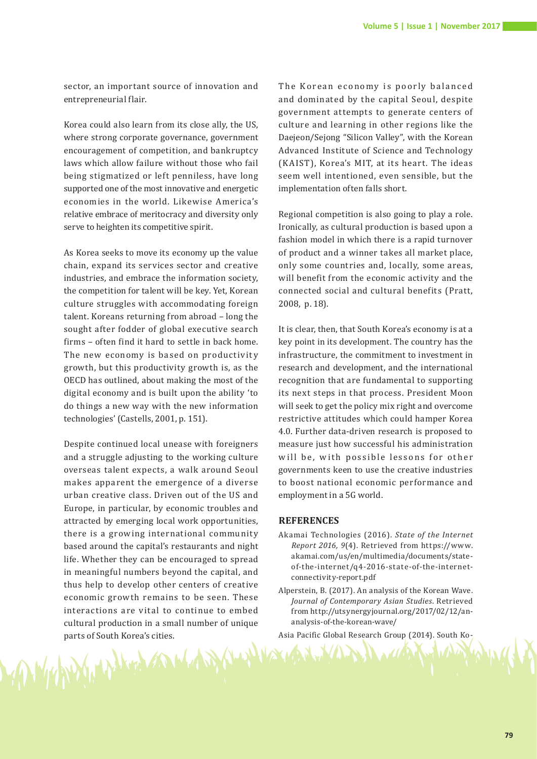sector, an important source of innovation and entrepreneurial flair.

Korea could also learn from its close ally, the US, where strong corporate governance, government encouragement of competition, and bankruptcy laws which allow failure without those who fail being stigmatized or left penniless, have long supported one of the most innovative and energetic economies in the world. Likewise America's relative embrace of meritocracy and diversity only serve to heighten its competitive spirit.

As Korea seeks to move its economy up the value chain, expand its services sector and creative industries, and embrace the information society, the competition for talent will be key. Yet, Korean culture struggles with accommodating foreign talent. Koreans returning from abroad – long the sought after fodder of global executive search firms – often find it hard to settle in back home. The new economy is based on productivity growth, but this productivity growth is, as the OECD has outlined, about making the most of the digital economy and is built upon the ability 'to do things a new way with the new information technologies' (Castells, 2001, p. 151).

Despite continued local unease with foreigners and a struggle adjusting to the working culture overseas talent expects, a walk around Seoul makes apparent the emergence of a diverse urban creative class. Driven out of the US and Europe, in particular, by economic troubles and attracted by emerging local work opportunities, there is a growing international community based around the capital's restaurants and night life. Whether they can be encouraged to spread in meaningful numbers beyond the capital, and thus help to develop other centers of creative economic growth remains to be seen. These interactions are vital to continue to embed cultural production in a small number of unique parts of South Korea's cities.

The Korean economy is poorly balanced and dominated by the capital Seoul, despite government attempts to generate centers of culture and learning in other regions like the Daejeon/Sejong "Silicon Valley", with the Korean Advanced Institute of Science and Technology (K AIST), Korea's MIT, at its heart. The ideas seem well intentioned, even sensible, but the implementation often falls short.

Regional competition is also going to play a role. Ironically, as cultural production is based upon a fashion model in which there is a rapid turnover of product and a winner takes all market place, only some countries and, locally, some areas, will benefit from the economic activity and the connected social and cultural benefits (Pratt, 2008, p. 18).

It is clear, then, that South Korea's economy is at a key point in its development. The country has the infrastructure, the commitment to investment in research and development, and the international recognition that are fundamental to supporting its next steps in that process. President Moon will seek to get the policy mix right and overcome restrictive attitudes which could hamper Korea 4.0. Further data-driven research is proposed to measure just how successful his administration will be, with possible lessons for other governments keen to use the creative industries to boost national economic performance and employment in a 5G world.

#### **REFERENCES**

- Akamai Technologies (2016). *State of the Internet Report 2016, 9*(4). Retrieved from https://www. akamai.com/us/en/multimedia/documents/stateof-the-internet/q4-2016-state-of-the-internetconnectivity-report.pdf
- Alperstein, B. (2017). An analysis of the Korean Wave. *Journal of Contemporary Asian Studies*. Retrieved from http://utsynergyjournal.org/2017/02/12/ananalysis-of-the-korean-wave/

Asia Pacific Global Research Group (2014). South Ko-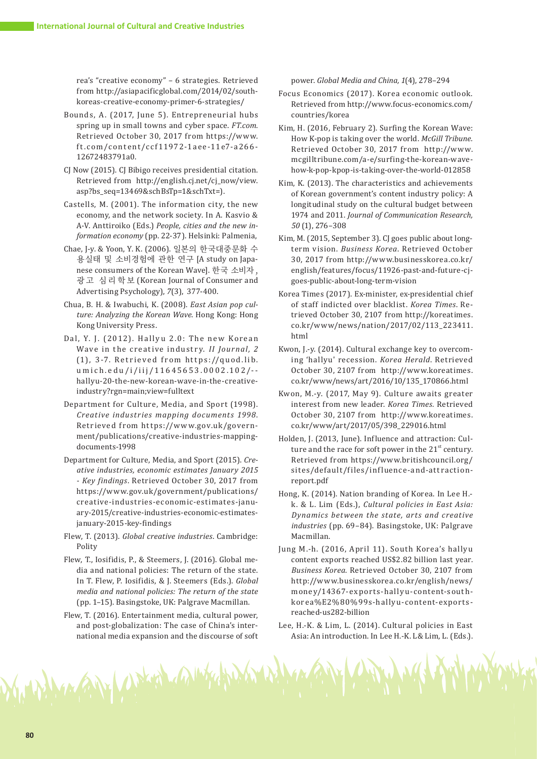rea's "creative economy" – 6 strategies. Retrieved from http://asiapacificglobal.com/2014/02/southkoreas-creative-economy-primer-6-strategies/

- Bounds, A. (2017, June 5). Entrepreneurial hubs spring up in small towns and cyber space. *FT.com*. Retrieved October 30, 2017 from https://www. f t.com/content/ccf11972-1aee-11e7-a266- 12672483791a0.
- CJ Now (2015). CJ Bibigo receives presidential citation. Retrieved from http://english.cj.net/cj\_now/view. asp?bs\_seq=13469&schBsTp=1&schTxt=).
- Castells, M. (2001). The information city, the new economy, and the network society. In A. Kasvio & A-V. Anttiroiko (Eds.) *People, cities and the new information economy* (pp. 22-37). Helsinki: Palmenia,
- Chae, J-y. & Yoon, Y. K. (2006). 일본의 한국대중문화 수 용실태 및 소비경험에 관한 연구 [A study on Japanese consumers of the Korean Wave]. 한국 소비자 , 광 고 심 리 학 보 (Korean Journal of Consumer and Advertising Psychology), *7*(3), 377-400.
- Chua, B. H. & Iwabuchi, K. (2008). *East Asian pop culture: Analyzing the Korean Wave*. Hong Kong: Hong Kong University Press.
- Dal, Y. J. (2012). Hallyu 2.0: The new Korean Wave in the creative industry. *II Journal*, 2  $(1)$ , 3-7. Retrieved from https://quod.lib. umich.edu/i/iij/11645653.0002.102/- hallyu-20-the-new-korean-wave-in-the-creativeindustry?rgn=main;view=fulltext
- Department for Culture, Media, and Sport (1998). *Creative industries mapping documents 1998*. Retrieved from https://www.gov.uk/government/publications/creative-industries-mappingdocuments-1998
- Department for Culture, Media, and Sport (2015). *Creative industries, economic estimates January 2015 - Key findings*. Retrieved October 30, 2017 from https://www.gov.uk/government/publications/ creative-industries-economic-estimates-january-2015/creative-industries-economic-estimatesjanuary-2015-key-findings
- Flew, T. (2013). *Global creative industries*. Cambridge: Polity
- Flew, T., Iosifidis, P., & Steemers, J. (2016). Global media and national policies: The return of the state. In T. Flew, P. Iosifidis, & J. Steemers (Eds.). *Global media and national policies: The return of the state*  (pp. 1–15). Basingstoke, UK: Palgrave Macmillan.
- Flew, T. (2016). Entertainment media, cultural power, and post-globalization: The case of China's international media expansion and the discourse of soft

The Party of December 100 mg

power. *Global Media and China, 1*(4), 278–294

- Focus Economics (2017). Korea economic outlook. Retrieved from http://www.focus-economics.com/ countries/korea
- Kim, H. (2016, February 2). Surfing the Korean Wave: How K-pop is taking over the world. *McGill Tribune.*  Retrieved October 30, 2017 from http://www. mcgilltribune.com/a-e/surfing-the-korean-wavehow-k-pop-kpop-is-taking-over-the-world-012858
- Kim, K. (2013). The characteristics and achievements of Korean government's content industry policy: A longitudinal study on the cultural budget between 1974 and 2011. *Journal of Communication Research, 50* (1), 276–308
- Kim, M. (2015, September 3). CJ goes public about longterm vision. *Business Korea*. Retrieved October 30, 2017 from http://www.businesskorea.co.kr/ english/features/focus/11926-past-and-future-cjgoes-public-about-long-term-vision
- Korea Times (2017). Ex-minister, ex-presidential chief of staff indicted over blacklist. *Korea Times*. Retrieved October 30, 2107 from http://koreatimes. co.kr/www/news/nation/2017/02/113\_223411. html
- Kwon, J.-y. (2014). Cultural exchange key to overcoming 'hallyu' recession. *Korea Herald*. Retrieved October 30, 2107 from http://www.koreatimes. co.kr/www/news/art/2016/10/135\_170866.html
- Kwon, M.-y. (2017, May 9). Culture awaits greater interest from new leader. *Korea Times.* Retrieved October 30, 2107 from http://www.koreatimes. co.kr/www/art/2017/05/398\_229016.html
- Holden, J. (2013, June). Influence and attraction: Culture and the race for soft power in the  $21<sup>st</sup>$  century. Retrieved from https://www.britishcouncil.org/ sites/default/files/influence-and-attractionreport.pdf
- Hong, K. (2014). Nation branding of Korea. In Lee H. k. & L. Lim (Eds.), *Cultural policies in East Asia: Dynamics between the state, arts and creative industries* (pp. 69–84). Basingstoke, UK: Palgrave Macmillan.
- Jung M.-h. (2016, April 11). South Korea's hallyu content exports reached US\$2.82 billion last year. *Business Korea*. Retrieved October 30, 2107 from http://www.businesskorea.co.kr/english/news/ money/14367-exports-hally u-content-southkorea%E2%80%99s-hallyu-content-exportsreached-us282-billion
- Lee, H.-K. & Lim, L. (2014). Cultural policies in East Asia: An introduction. In Lee H.-K. L& Lim, L. (Eds.).